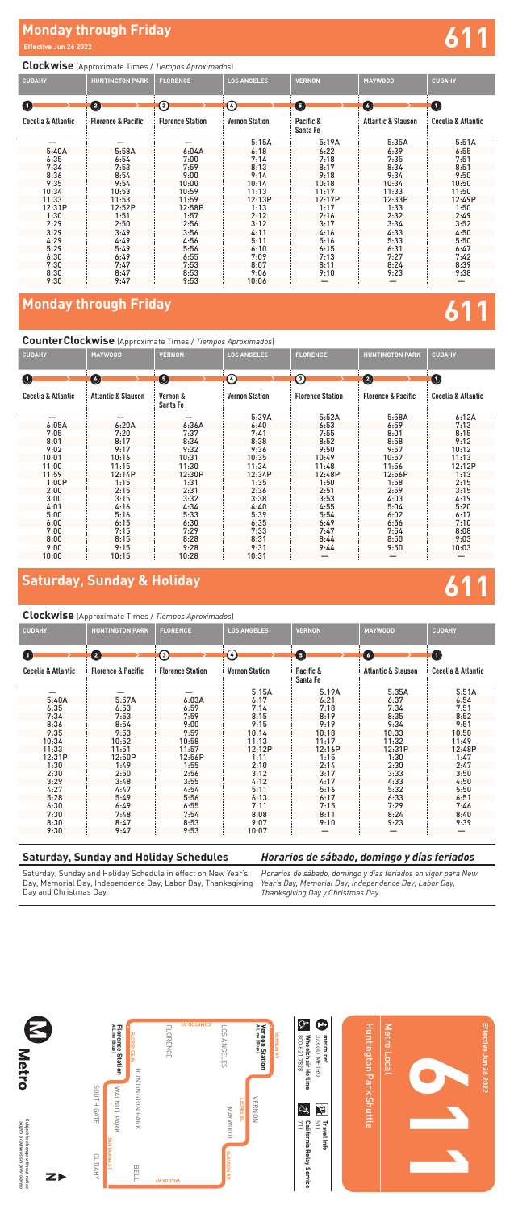# **Monday through Friday**<br>Effective Jun 26 2022

### **Clockwise** (Approximate Times / *Tiempos Aproximados*)

| <b>CUDAHY</b>      | <b>HUNTINGTON PARK</b>        | <b>FLORENCE</b>         | <b>LOS ANGELES</b>    | <b>VERNON</b>         | <b>MAYWOOD</b>                | <b>CUDAHY</b>      |
|--------------------|-------------------------------|-------------------------|-----------------------|-----------------------|-------------------------------|--------------------|
| $\bullet$          | $\mathbf 2$                   | ⊙                       | $\epsilon$            | $\boldsymbol{\Theta}$ | $\bullet$                     | $\bf \bm \omega$   |
| Cecelia & Atlantic | <b>Florence &amp; Pacific</b> | <b>Florence Station</b> | <b>Vernon Station</b> | Pacific &<br>Santa Fe | <b>Atlantic &amp; Slauson</b> | Cecelia & Atlantic |
|                    |                               | —                       | 5:15A                 | 5:19A                 | 5:35A                         | 5:51A              |
| 5:40A              | 5:58A                         | 6:04A                   | 6:18                  | 6:22                  | 6:39                          | 6:55               |
| 6:35               | 6:54                          | 7:00                    | 7:14                  | 7:18                  | 7:35                          | 7:51               |
| 7:34               | 7:53                          | 7:59                    | 8:13                  | 8:17                  | 8:34                          | 8:51               |
| 8:36               | 8:54                          | 9:00                    | 9:14                  | 9:18                  | 9:34                          | 9:50               |
| 9:35               | 9:54                          | 10:00                   | 10:14                 | 10:18                 | 10:34                         | 10:50              |
| 10:34              | 10:53                         | 10:59                   | 11:13                 | 11:17                 | 11:33                         | 11:50              |
| 11:33              | 11:53                         | 11:59                   | 12:13P                | 12:17P                | 12:33P                        | 12:49P             |
| 12:31P             | 12:52P                        | 12:58P                  | 1:13                  | 1:17                  | 1:33                          | 1:50               |
| 1:30               | 1:51                          | 1:57                    | 2:12                  | 2:16                  | 2:32                          | 2:49               |
| 2:29               | 2:50                          | 2:56                    | 3:12                  | 3:17                  | 3:34                          | 3:52               |
| 3:29               | 3:49                          | 3:56                    | 4:11                  | 4:16                  | 4:33                          | 4:50               |
| 4:29               | 4:49                          | 4:56                    | 5:11                  | 5:16                  | 5:33                          | 5:50               |
| 5:29               | 5:49                          | 5:56                    | 6:10                  | 6:15                  | 6:31                          | 6:47               |
| 6:30               | 6:49                          | 6:55                    | 7:09                  | 7:13                  | 7:27                          | 7:42               |
| 7:30               | 7:47                          | 7:53                    | 8:07                  | 8:11                  | 8:24                          | 8:39               |
| 8:30               | 8:47                          | 8:53                    | 9:06                  | 9:10                  | 9:23                          | 9:38               |
| 9:30               | 9:47                          | 9:53                    | 10:06                 |                       |                               |                    |

# **Monday through Friday**

### **CounterClockwise** (Approximate Times / *Tiempos Aproximados*)

| <b>CUDAHY</b>      | <b>MAYWOOD</b>                | <b>VERNON</b>        | <b>LOS ANGELES</b>                                           | <b>FLORENCE</b>         | <b>HUNTINGTON PARK</b>        | <b>CUDAHY</b>      |
|--------------------|-------------------------------|----------------------|--------------------------------------------------------------|-------------------------|-------------------------------|--------------------|
| $\blacksquare$     | G                             | 0                    | $\left( \begin{smallmatrix} 1\\ 4 \end{smallmatrix} \right)$ | <u>ි</u>                | $\left( 2\right)$             | $\blacksquare$     |
| Cecelia & Atlantic | <b>Atlantic &amp; Slauson</b> | Vernon &<br>Santa Fe | <b>Vernon Station</b>                                        | <b>Florence Station</b> | <b>Florence &amp; Pacific</b> | Cecelia & Atlantic |
|                    |                               |                      | 5:39A                                                        | 5:52A                   | 5:58A                         | 6:12A              |
| 6:05A              | 6:20A                         | 6:36A                | 6:40                                                         | 6:53                    | 6:59                          | 7:13               |
| 7:05               | 7:20                          | 7:37                 | 7:41                                                         | 7:55                    | 8:01                          | 8:15               |
| 8:01               | 8:17                          | 8:34                 | 8:38                                                         | 8:52                    | 8:58                          | 9:12               |
| 9:02               | 9:17                          | 9:32                 | 9:36                                                         | 9:50                    | 9:57                          | 10:12              |
| 10:01              | 10:16                         | 10:31                | 10:35                                                        | 10:49                   | 10:57                         | 11:13              |
| 11:00              | 11:15                         | 11:30                | 11:34                                                        | 11:48                   | 11:56                         | 12:12P             |
| 11:59              | 12:14P                        | 12:30P               | 12:34P                                                       | 12:48P                  | 12:56P                        | 1:13               |
| 1:00P              | 1:15                          | 1:31                 | 1:35                                                         | 1:50                    | 1:58                          | 2:15               |
| 2:00               | 2:15                          | 2:31                 | 2:36                                                         | 2:51                    | 2:59                          | 3:15               |
| 3:00               | 3:15                          | 3:32                 | 3:38                                                         | 3:53                    | 4:03                          | 4:19               |
| 4:01               | 4:16                          | 4:34                 | 4:40                                                         | 4:55                    | 5:04                          | 5:20               |
| 5:00               | 5:16                          | 5:33                 | 5:39                                                         | 5:54                    | 6:02                          | 6:17               |
| 6:00               | 6:15                          | 6:30                 | 6:35                                                         | 6:49                    | 6:56                          | 7:10               |
| 7:00               | 7:15                          | 7:29                 | 7:33                                                         | 7:47                    | 7:54                          | 8:08               |
| 8:00               | 8:15                          | 8:28                 | 8:31                                                         | 8:44                    | 8:50                          | 9:03               |
| 9:00               | 9:15                          | 9:28                 | 9:31                                                         | 9:44                    | 9:50                          | 10:03              |
| 10:00              | 10:15                         | 10:28                | 10:31                                                        |                         |                               |                    |

Subject to change without notice<br>*Sujeto a cambios sin previo aviso* Subject to change without notice *Sujeto a cambios sin previo aviso*



Saturday, Sunday and Holiday Schedule in effect on New Year's Day, Memorial Day, Independence Day, Labor Day, Thanksgiving Day and Christmas Day.

# **Saturday, Sunday & Holiday**

### **Clockwise** (Approximate Times / *Tiempos Aproximados*)

| <b>CUDAHY</b>                                   | <b>HUNTINGTON PARK</b>        | <b>FLORENCE</b>         | <b>LOS ANGELES</b>    | <b>VERNON</b>         | <b>MAYWOOD</b>                    | <b>CUDAHY</b>      |
|-------------------------------------------------|-------------------------------|-------------------------|-----------------------|-----------------------|-----------------------------------|--------------------|
| $\left( \begin{array}{c} 1 \end{array} \right)$ | $\bullet$                     | ③                       | 4                     | 0                     | $\begin{pmatrix} 6 \end{pmatrix}$ | $\mathbf 0$        |
| Cecelia & Atlantic                              | <b>Florence &amp; Pacific</b> | <b>Florence Station</b> | <b>Vernon Station</b> | Pacific &<br>Santa Fe | <b>Atlantic &amp; Slauson</b>     | Cecelia & Atlantic |
| –                                               |                               |                         | 5:15A                 | 5:19A                 | 5:35A                             | 5:51A              |
| 5:40A                                           | 5:57A                         | 6:03A                   | 6:17                  | 6:21                  | 6:37                              | 6:54               |
| 6:35                                            | 6:53                          | 6:59                    | 7:14                  | 7:18                  | 7:34                              | 7:51               |
| 7:34                                            | 7:53                          | 7:59                    | 8:15                  | 8:19                  | 8:35                              | 8:52               |
| 8:36                                            | 8:54                          | 9:00                    | 9:15                  | 9:19                  | 9:34                              | 9:51               |
| 9:35                                            | 9:53                          | 9:59                    | 10:14                 | 10:18                 | 10:33                             | 10:50              |
| 10:34                                           | 10:52                         | 10:58                   | 11:13                 | 11:17                 | 11:32                             | 11:49              |
| 11:33                                           | 11:51                         | 11:57                   | 12:12P                | 12:16P                | 12:31P                            | 12:48P             |
| 12:31P                                          | 12:50P                        | 12:56P                  | 1:11                  | 1:15                  | 1:30                              | 1:47               |
| 1:30                                            | 1:49                          | 1:55                    | 2:10                  | 2:14                  | 2:30                              | 2:47               |
| 2:30                                            | 2:50                          | 2:56                    | 3:12                  | 3:17                  | 3:33                              | 3:50               |
| 3:29                                            | 3:48                          | 3:55                    | 4:12                  | 4:17                  | 4:33                              | 4:50               |
| 4:27                                            | 4:47                          | 4:54                    | 5:11                  | 5:16                  | 5:32                              | 5:50               |
| 5:28                                            | 5:49                          | 5:56                    | 6:13                  | 6:17                  | 6:33                              | 6:51               |
| 6:30                                            | 6:49                          | 6:55                    | 7:11                  | 7:15                  | 7:29                              | 7:46               |
| 7:30                                            | 7:48                          | 7:54                    | 8:08                  | 8:11                  | 8:24                              | 8:40               |
| 8:30                                            | 8:47                          | 8:53                    | 9:07                  | 9:10                  | 9:23                              | 9:39               |
| 9:30                                            | 9:47                          | 9:53                    | 10:07                 |                       |                                   |                    |



# **611**

Huntington Park Shuttle

**Huntington Park Shuttle** 

Metro Local

Metro Local

**611** 

**Effective Jun 26 2022**

Effective Jun 26 2022





## **Saturday, Sunday and Holiday Schedules**

### *Horarios de sábado, domingo y días feriados*

*Horarios de sábado, domingo y días feriados en vigor para New Year's Day, Memorial Day, Independence Day, Labor Day, Thanksgiving Day y Christmas Day.*